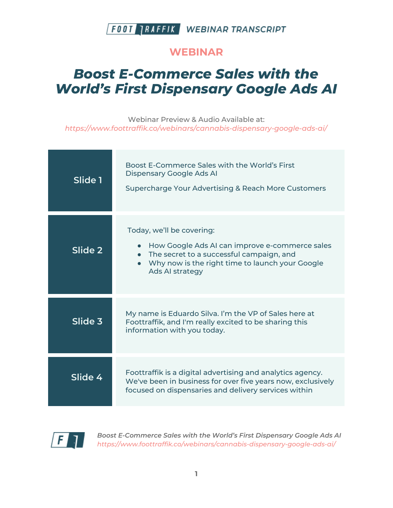

#### **WEBINAR**

# *Boost E-Commerce Sales with the World's First Dispensary Google Ads AI*

Webinar Preview & Audio Available at: *https://www.foottraffik.co/webinars/cannabis-dispensary-google-ads-ai/*

| Slide 1 | Boost E-Commerce Sales with the World's First<br>Dispensary Google Ads Al<br>Supercharge Your Advertising & Reach More Customers                                                                         |
|---------|----------------------------------------------------------------------------------------------------------------------------------------------------------------------------------------------------------|
| Slide 2 | Today, we'll be covering:<br>How Google Ads AI can improve e-commerce sales<br>• The secret to a successful campaign, and<br>• Why now is the right time to launch your Google<br><b>Ads AI strategy</b> |
| Slide 3 | My name is Eduardo Silva. I'm the VP of Sales here at<br>Foottraffik, and I'm really excited to be sharing this<br>information with you today.                                                           |
| Slide 4 | Foottraffik is a digital advertising and analytics agency.<br>We've been in business for over five years now, exclusively<br>focused on dispensaries and delivery services within                        |

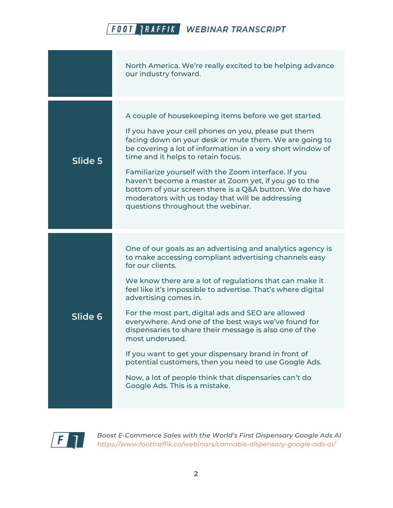|         | North America. We're really excited to be helping advance<br>our industry forward.                                                                                                                                                                                                                                                                                                                                                                                                                                                                                                                                                                                                                 |
|---------|----------------------------------------------------------------------------------------------------------------------------------------------------------------------------------------------------------------------------------------------------------------------------------------------------------------------------------------------------------------------------------------------------------------------------------------------------------------------------------------------------------------------------------------------------------------------------------------------------------------------------------------------------------------------------------------------------|
| Slide 5 | A couple of housekeeping items before we get started.<br>If you have your cell phones on you, please put them<br>facing down on your desk or mute them. We are going to<br>be covering a lot of information in a very short window of<br>time and it helps to retain focus.<br>Familiarize yourself with the Zoom interface. If you<br>haven't become a master at Zoom yet, if you go to the<br>bottom of your screen there is a Q&A button. We do have<br>moderators with us today that will be addressing<br>questions throughout the webinar.                                                                                                                                                   |
| Slide 6 | One of our goals as an advertising and analytics agency is<br>to make accessing compliant advertising channels easy<br>for our clients.<br>We know there are a lot of regulations that can make it<br>feel like it's impossible to advertise. That's where digital<br>advertising comes in.<br>For the most part, digital ads and SEO are allowed<br>everywhere. And one of the best ways we've found for<br>dispensaries to share their message is also one of the<br>most underused.<br>If you want to get your dispensary brand in front of<br>potential customers, then you need to use Google Ads.<br>Now, a lot of people think that dispensaries can't do<br>Google Ads. This is a mistake. |

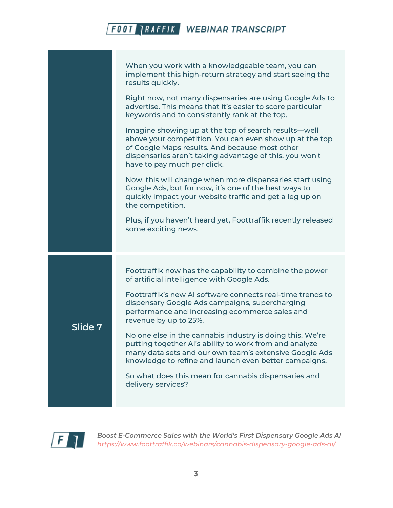|         | When you work with a knowledgeable team, you can<br>implement this high-return strategy and start seeing the<br>results quickly.                                                                                                                            |
|---------|-------------------------------------------------------------------------------------------------------------------------------------------------------------------------------------------------------------------------------------------------------------|
|         | Right now, not many dispensaries are using Google Ads to<br>advertise. This means that it's easier to score particular<br>keywords and to consistently rank at the top.                                                                                     |
|         | Imagine showing up at the top of search results—well<br>above your competition. You can even show up at the top<br>of Google Maps results. And because most other<br>dispensaries aren't taking advantage of this, you won't<br>have to pay much per click. |
|         | Now, this will change when more dispensaries start using<br>Google Ads, but for now, it's one of the best ways to<br>quickly impact your website traffic and get a leg up on<br>the competition.                                                            |
|         | Plus, if you haven't heard yet, Foottraffik recently released<br>some exciting news.                                                                                                                                                                        |
| Slide 7 | Foottraffik now has the capability to combine the power<br>of artificial intelligence with Google Ads.                                                                                                                                                      |
|         | Foottraffik's new AI software connects real-time trends to<br>dispensary Google Ads campaigns, supercharging<br>performance and increasing ecommerce sales and<br>revenue by up to 25%.                                                                     |
|         | No one else in the cannabis industry is doing this. We're<br>putting together AI's ability to work from and analyze<br>many data sets and our own team's extensive Google Ads<br>knowledge to refine and launch even better campaigns.                      |
|         | So what does this mean for cannabis dispensaries and<br>delivery services?                                                                                                                                                                                  |
|         |                                                                                                                                                                                                                                                             |

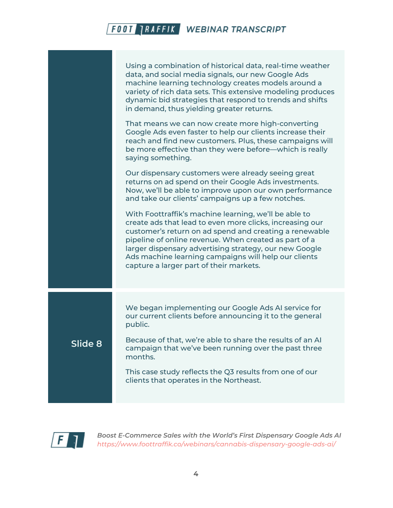|         | Using a combination of historical data, real-time weather<br>data, and social media signals, our new Google Ads<br>machine learning technology creates models around a<br>variety of rich data sets. This extensive modeling produces<br>dynamic bid strategies that respond to trends and shifts<br>in demand, thus yielding greater returns.                                                    |
|---------|---------------------------------------------------------------------------------------------------------------------------------------------------------------------------------------------------------------------------------------------------------------------------------------------------------------------------------------------------------------------------------------------------|
|         | That means we can now create more high-converting<br>Google Ads even faster to help our clients increase their<br>reach and find new customers. Plus, these campaigns will<br>be more effective than they were before—which is really<br>saying something.                                                                                                                                        |
|         | Our dispensary customers were already seeing great<br>returns on ad spend on their Google Ads investments.<br>Now, we'll be able to improve upon our own performance<br>and take our clients' campaigns up a few notches.                                                                                                                                                                         |
|         | With Foottraffik's machine learning, we'll be able to<br>create ads that lead to even more clicks, increasing our<br>customer's return on ad spend and creating a renewable<br>pipeline of online revenue. When created as part of a<br>larger dispensary advertising strategy, our new Google<br>Ads machine learning campaigns will help our clients<br>capture a larger part of their markets. |
|         | We began implementing our Google Ads AI service for<br>our current clients before announcing it to the general<br>public.                                                                                                                                                                                                                                                                         |
| Slide 8 | Because of that, we're able to share the results of an Al<br>campaign that we've been running over the past three<br>months.                                                                                                                                                                                                                                                                      |
|         | This case study reflects the Q3 results from one of our<br>clients that operates in the Northeast.                                                                                                                                                                                                                                                                                                |

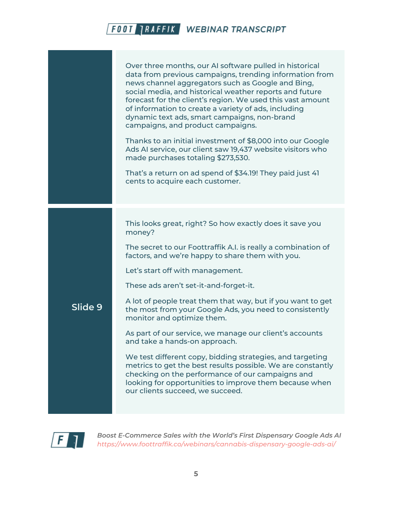|         | Over three months, our AI software pulled in historical<br>data from previous campaigns, trending information from<br>news channel aggregators such as Google and Bing,<br>social media, and historical weather reports and future<br>forecast for the client's region. We used this vast amount<br>of information to create a variety of ads, including<br>dynamic text ads, smart campaigns, non-brand<br>campaigns, and product campaigns.<br>Thanks to an initial investment of \$8,000 into our Google<br>Ads AI service, our client saw 19,437 website visitors who<br>made purchases totaling \$273,530.<br>That's a return on ad spend of \$34.19! They paid just 41<br>cents to acquire each customer.                                                                                         |
|---------|---------------------------------------------------------------------------------------------------------------------------------------------------------------------------------------------------------------------------------------------------------------------------------------------------------------------------------------------------------------------------------------------------------------------------------------------------------------------------------------------------------------------------------------------------------------------------------------------------------------------------------------------------------------------------------------------------------------------------------------------------------------------------------------------------------|
| Slide 9 | This looks great, right? So how exactly does it save you<br>money?<br>The secret to our Foottraffik A.I. is really a combination of<br>factors, and we're happy to share them with you.<br>Let's start off with management.<br>These ads aren't set-it-and-forget-it.<br>A lot of people treat them that way, but if you want to get<br>the most from your Google Ads, you need to consistently<br>monitor and optimize them.<br>As part of our service, we manage our client's accounts<br>and take a hands-on approach.<br>We test different copy, bidding strategies, and targeting<br>metrics to get the best results possible. We are constantly<br>checking on the performance of our campaigns and<br>looking for opportunities to improve them because when<br>our clients succeed, we succeed. |

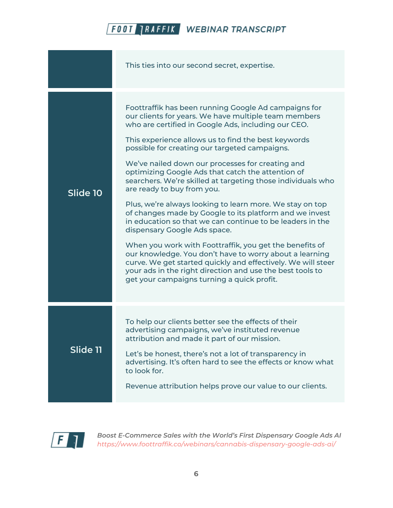|          | This ties into our second secret, expertise.                                                                                                                                                                                                                                                                                                                                                                                                                                                                                                                                                                                                                                                                                                                                                                                                                                                                                                                                                           |
|----------|--------------------------------------------------------------------------------------------------------------------------------------------------------------------------------------------------------------------------------------------------------------------------------------------------------------------------------------------------------------------------------------------------------------------------------------------------------------------------------------------------------------------------------------------------------------------------------------------------------------------------------------------------------------------------------------------------------------------------------------------------------------------------------------------------------------------------------------------------------------------------------------------------------------------------------------------------------------------------------------------------------|
| Slide 10 | Foottraffik has been running Google Ad campaigns for<br>our clients for years. We have multiple team members<br>who are certified in Google Ads, including our CEO.<br>This experience allows us to find the best keywords<br>possible for creating our targeted campaigns.<br>We've nailed down our processes for creating and<br>optimizing Google Ads that catch the attention of<br>searchers. We're skilled at targeting those individuals who<br>are ready to buy from you.<br>Plus, we're always looking to learn more. We stay on top<br>of changes made by Google to its platform and we invest<br>in education so that we can continue to be leaders in the<br>dispensary Google Ads space.<br>When you work with Foottraffik, you get the benefits of<br>our knowledge. You don't have to worry about a learning<br>curve. We get started quickly and effectively. We will steer<br>your ads in the right direction and use the best tools to<br>get your campaigns turning a quick profit. |
| Slide 11 | To help our clients better see the effects of their<br>advertising campaigns, we've instituted revenue<br>attribution and made it part of our mission.<br>Let's be honest, there's not a lot of transparency in<br>advertising. It's often hard to see the effects or know what<br>to look for.<br>Revenue attribution helps prove our value to our clients.                                                                                                                                                                                                                                                                                                                                                                                                                                                                                                                                                                                                                                           |

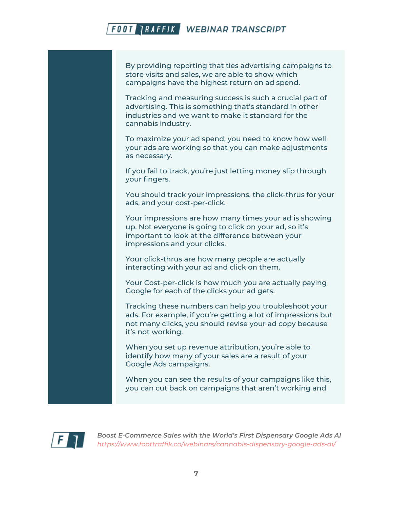By providing reporting that ties advertising campaigns to store visits and sales, we are able to show which campaigns have the highest return on ad spend.

Tracking and measuring success is such a crucial part of advertising. This is something that's standard in other industries and we want to make it standard for the cannabis industry.

To maximize your ad spend, you need to know how well your ads are working so that you can make adjustments as necessary.

If you fail to track, you're just letting money slip through your fingers.

You should track your impressions, the click-thrus for your ads, and your cost-per-click.

Your impressions are how many times your ad is showing up. Not everyone is going to click on your ad, so it's important to look at the difference between your impressions and your clicks.

Your click-thrus are how many people are actually interacting with your ad and click on them.

Your Cost-per-click is how much you are actually paying Google for each of the clicks your ad gets.

Tracking these numbers can help you troubleshoot your ads. For example, if you're getting a lot of impressions but not many clicks, you should revise your ad copy because it's not working.

When you set up revenue attribution, you're able to identify how many of your sales are a result of your Google Ads campaigns.

When you can see the results of your campaigns like this, you can cut back on campaigns that aren't working and

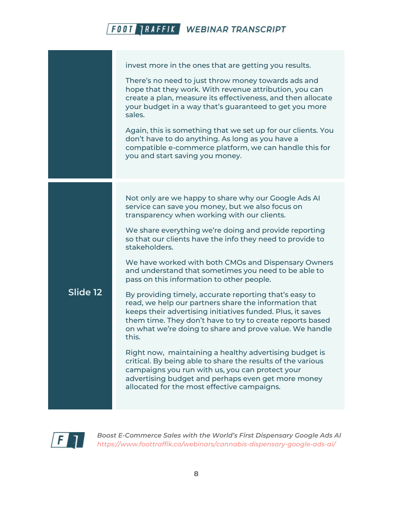invest more in the ones that are getting you results. There's no need to just throw money towards ads and hope that they work. With revenue attribution, you can create a plan, measure its effectiveness, and then allocate your budget in a way that's guaranteed to get you more sales. Again, this is something that we set up for our clients. You don't have to do anything. As long as you have a compatible e-commerce platform, we can handle this for you and start saving you money. **Slide 12** Not only are we happy to share why our Google Ads AI service can save you money, but we also focus on transparency when working with our clients. We share everything we're doing and provide reporting so that our clients have the info they need to provide to stakeholders. We have worked with both CMOs and Dispensary Owners and understand that sometimes you need to be able to pass on this information to other people. By providing timely, accurate reporting that's easy to read, we help our partners share the information that keeps their advertising initiatives funded. Plus, it saves them time. They don't have to try to create reports based on what we're doing to share and prove value. We handle this. Right now, maintaining a healthy advertising budget is critical. By being able to share the results of the various campaigns you run with us, you can protect your advertising budget and perhaps even get more money allocated for the most effective campaigns.

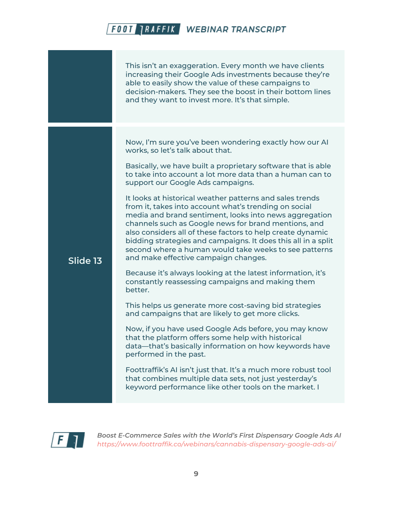This isn't an exaggeration. Every month we have clients increasing their Google Ads investments because they're able to easily show the value of these campaigns to decision-makers. They see the boost in their bottom lines and they want to invest more. It's that simple.

Now, I'm sure you've been wondering exactly how our AI works, so let's talk about that.

Basically, we have built a proprietary software that is able to take into account a lot more data than a human can to support our Google Ads campaigns.

It looks at historical weather patterns and sales trends from it, takes into account what's trending on social media and brand sentiment, looks into news aggregation channels such as Google news for brand mentions, and also considers all of these factors to help create dynamic bidding strategies and campaigns. It does this all in a split second where a human would take weeks to see patterns and make effective campaign changes.

Because it's always looking at the latest information, it's constantly reassessing campaigns and making them better.

This helps us generate more cost-saving bid strategies and campaigns that are likely to get more clicks.

Now, if you have used Google Ads before, you may know that the platform offers some help with historical data—that's basically information on how keywords have performed in the past.

Foottraffik's AI isn't just that. It's a much more robust tool that combines multiple data sets, not just yesterday's keyword performance like other tools on the market. I



**Slide 13**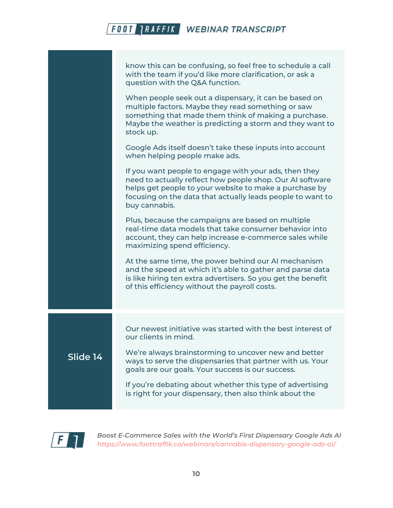|          | know this can be confusing, so feel free to schedule a call<br>with the team if you'd like more clarification, or ask a<br>question with the Q&A function.                                                                                                  |
|----------|-------------------------------------------------------------------------------------------------------------------------------------------------------------------------------------------------------------------------------------------------------------|
|          | When people seek out a dispensary, it can be based on<br>multiple factors. Maybe they read something or saw<br>something that made them think of making a purchase.<br>Maybe the weather is predicting a storm and they want to<br>stock up.                |
|          | Google Ads itself doesn't take these inputs into account<br>when helping people make ads.                                                                                                                                                                   |
|          | If you want people to engage with your ads, then they<br>need to actually reflect how people shop. Our AI software<br>helps get people to your website to make a purchase by<br>focusing on the data that actually leads people to want to<br>buy cannabis. |
|          | Plus, because the campaigns are based on multiple<br>real-time data models that take consumer behavior into<br>account, they can help increase e-commerce sales while<br>maximizing spend efficiency.                                                       |
|          | At the same time, the power behind our AI mechanism<br>and the speed at which it's able to gather and parse data<br>is like hiring ten extra advertisers. So you get the benefit<br>of this efficiency without the payroll costs.                           |
|          | Our newest initiative was started with the best interest of<br>our clients in mind.                                                                                                                                                                         |
| Slide 14 | We're always brainstorming to uncover new and better<br>ways to serve the dispensaries that partner with us. Your<br>goals are our goals. Your success is our success.                                                                                      |
|          | If you're debating about whether this type of advertising<br>is right for your dispensary, then also think about the                                                                                                                                        |

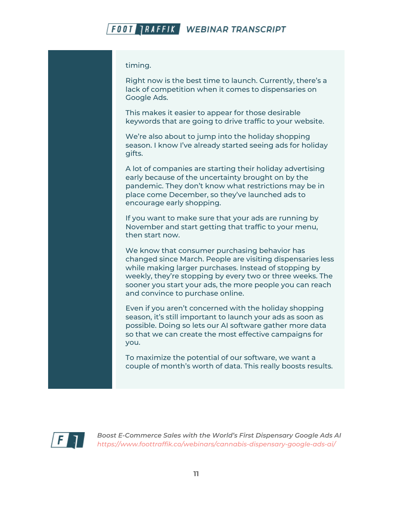timing.

Right now is the best time to launch. Currently, there's a lack of competition when it comes to dispensaries on Google Ads.

This makes it easier to appear for those desirable keywords that are going to drive traffic to your website.

We're also about to jump into the holiday shopping season. I know I've already started seeing ads for holiday gifts.

A lot of companies are starting their holiday advertising early because of the uncertainty brought on by the pandemic. They don't know what restrictions may be in place come December, so they've launched ads to encourage early shopping.

If you want to make sure that your ads are running by November and start getting that traffic to your menu, then start now.

We know that consumer purchasing behavior has changed since March. People are visiting dispensaries less while making larger purchases. Instead of stopping by weekly, they're stopping by every two or three weeks. The sooner you start your ads, the more people you can reach and convince to purchase online.

Even if you aren't concerned with the holiday shopping season, it's still important to launch your ads as soon as possible. Doing so lets our AI software gather more data so that we can create the most effective campaigns for you.

To maximize the potential of our software, we want a couple of month's worth of data. This really boosts results.

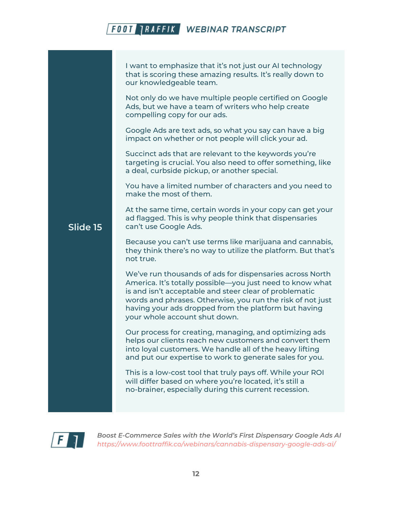I want to emphasize that it's not just our AI technology that is scoring these amazing results. It's really down to our knowledgeable team.

Not only do we have multiple people certified on Google Ads, but we have a team of writers who help create compelling copy for our ads.

Google Ads are text ads, so what you say can have a big impact on whether or not people will click your ad.

Succinct ads that are relevant to the keywords you're targeting is crucial. You also need to offer something, like a deal, curbside pickup, or another special.

You have a limited number of characters and you need to make the most of them.

At the same time, certain words in your copy can get your ad flagged. This is why people think that dispensaries can't use Google Ads.

Because you can't use terms like marijuana and cannabis, they think there's no way to utilize the platform. But that's not true.

We've run thousands of ads for dispensaries across North America. It's totally possible—you just need to know what is and isn't acceptable and steer clear of problematic words and phrases. Otherwise, you run the risk of not just having your ads dropped from the platform but having your whole account shut down.

Our process for creating, managing, and optimizing ads helps our clients reach new customers and convert them into loyal customers. We handle all of the heavy lifting and put our expertise to work to generate sales for you.

This is a low-cost tool that truly pays off. While your ROI will differ based on where you're located, it's still a no-brainer, especially during this current recession.



**Slide 15**